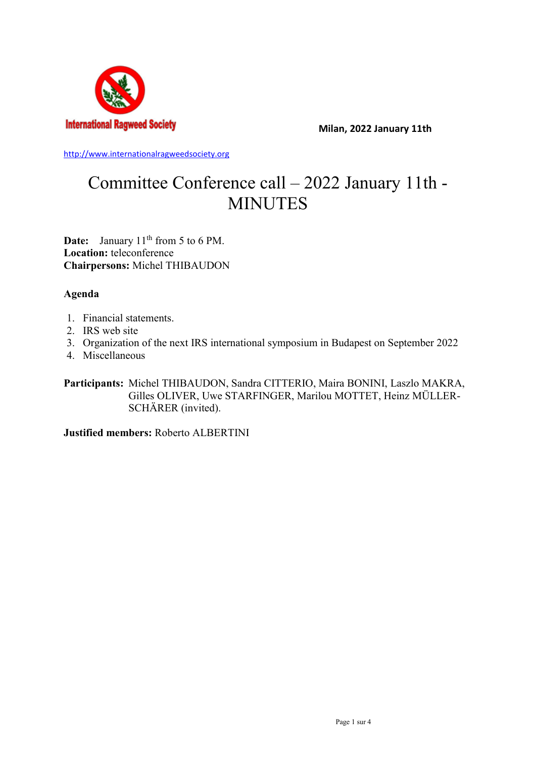

**Milan, 2022 January 11th**

[http://www.internationalragweedsociety.org](http://www.internationalragweedsociety.org/)

# Committee Conference call – 2022 January 11th - MINUTES

**Date:** January 11<sup>th</sup> from 5 to 6 PM. **Location:** teleconference **Chairpersons:** Michel THIBAUDON

## **Agenda**

- 1. Financial statements.
- 2. IRS web site
- 3. Organization of the next IRS international symposium in Budapest on September 2022
- 4. Miscellaneous

**Participants:** Michel THIBAUDON, Sandra CITTERIO, Maira BONINI, Laszlo MAKRA, Gilles OLIVER, Uwe STARFINGER, Marilou MOTTET, Heinz MÜLLER-SCHÄRER (invited).

**Justified members:** Roberto ALBERTINI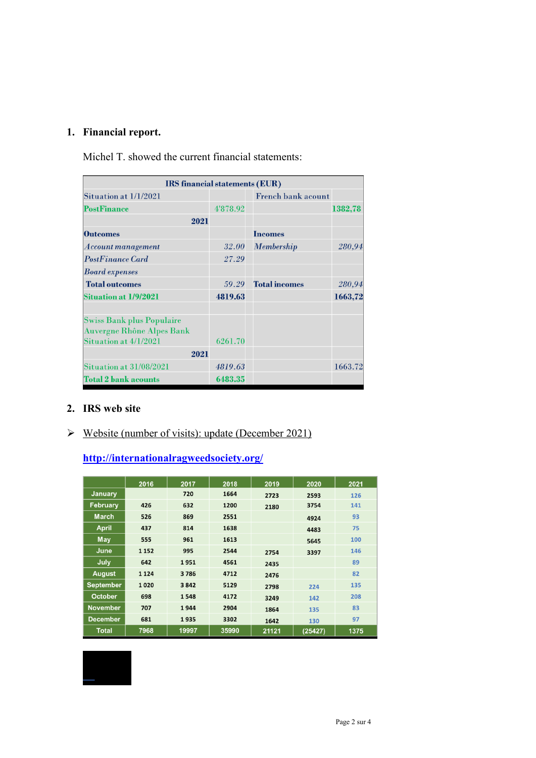## **1. Financial report.**

Michel T. showed the current financial statements:

| IRS financial statements (EUR)                                       |              |                           |         |
|----------------------------------------------------------------------|--------------|---------------------------|---------|
| Situation at 1/1/2021                                                |              | <b>French bank acount</b> |         |
| <b>PostFinance</b>                                                   | 4'878.92     |                           | 1382,78 |
| 2021                                                                 |              |                           |         |
| <b>Outcomes</b>                                                      |              | <b>Incomes</b>            |         |
| Account management                                                   | <b>32.00</b> | <b>Membership</b>         | 280,94  |
| <b>PostFinance Card</b>                                              | 27.29        |                           |         |
| <b>Board expenses</b>                                                |              |                           |         |
| <b>Total outcomes</b>                                                | 59.29        | <b>Total incomes</b>      | 280,94  |
| <b>Situation at 1/9/2021</b>                                         | 4819.63      |                           | 1663,72 |
| <b>Swiss Bank plus Populaire</b><br><b>Auvergne Rhône Alpes Bank</b> |              |                           |         |
| Situation at 4/1/2021                                                | 6261.70      |                           |         |
| 2021                                                                 |              |                           |         |
| Situation at 31/08/2021                                              | 4819.63      |                           | 1663.72 |
| <b>Total 2 bank acounts</b>                                          | 6483.35      |                           |         |

#### **2. IRS web site**

## $\triangleright$  Website (number of visits): update (December 2021)

## **<http://internationalragweedsociety.org/>**

|                  | 2016    | 2017  | 2018  | 2019  | 2020    | 2021 |
|------------------|---------|-------|-------|-------|---------|------|
| <b>January</b>   |         | 720   | 1664  | 2723  | 2593    | 126  |
| <b>February</b>  | 426     | 632   | 1200  | 2180  | 3754    | 141  |
| <b>March</b>     | 526     | 869   | 2551  |       | 4924    | 93   |
| <b>April</b>     | 437     | 814   | 1638  |       | 4483    | 75   |
| May              | 555     | 961   | 1613  |       | 5645    | 100  |
| June             | 1 1 5 2 | 995   | 2544  | 2754  | 3397    | 146  |
| July             | 642     | 1951  | 4561  | 2435  |         | 89   |
| <b>August</b>    | 1 1 2 4 | 3786  | 4712  | 2476  |         | 82   |
| <b>September</b> | 1020    | 3842  | 5129  | 2798  | 224     | 135  |
| <b>October</b>   | 698     | 1548  | 4172  | 3249  | 142     | 208  |
| <b>November</b>  | 707     | 1944  | 2904  | 1864  | 135     | 83   |
| <b>December</b>  | 681     | 1935  | 3302  | 1642  | 130     | 97   |
| <b>Total</b>     | 7968    | 19997 | 35990 | 21121 | (25427) | 1375 |

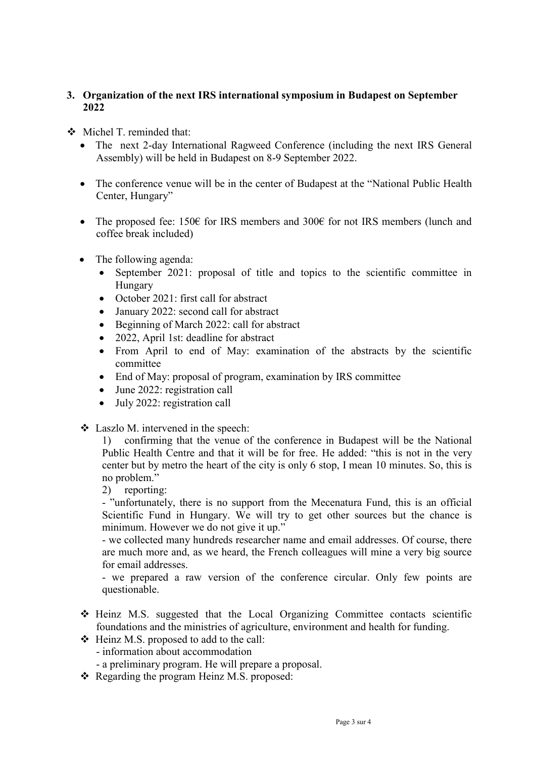## **3. Organization of the next IRS international symposium in Budapest on September 2022**

- Michel T. reminded that:
	- The next 2-day International Ragweed Conference (including the next IRS General Assembly) will be held in Budapest on 8-9 September 2022.
	- The conference venue will be in the center of Budapest at the "National Public Health" Center, Hungary"
	- The proposed fee: 150 $\epsilon$  for IRS members and 300 $\epsilon$  for not IRS members (lunch and coffee break included)
	- The following agenda:
		- September 2021: proposal of title and topics to the scientific committee in Hungary
		- October 2021: first call for abstract
		- January 2022: second call for abstract
		- Beginning of March 2022: call for abstract
		- 2022, April 1st: deadline for abstract
		- From April to end of May: examination of the abstracts by the scientific committee
		- End of May: proposal of program, examination by IRS committee
		- June 2022: registration call
		- July 2022: registration call
	- Laszlo M. intervened in the speech:

1) confirming that the venue of the conference in Budapest will be the National Public Health Centre and that it will be for free. He added: "this is not in the very center but by metro the heart of the city is only 6 stop, I mean 10 minutes. So, this is no problem."

2) reporting:

- "unfortunately, there is no support from the Mecenatura Fund, this is an official Scientific Fund in Hungary. We will try to get other sources but the chance is minimum. However we do not give it up."

- we collected many hundreds researcher name and email addresses. Of course, there are much more and, as we heard, the French colleagues will mine a very big source for email addresses.

- we prepared a raw version of the conference circular. Only few points are questionable.

- Heinz M.S. suggested that the Local Organizing Committee contacts scientific foundations and the ministries of agriculture, environment and health for funding.
- $\div$  Heinz M.S. proposed to add to the call:
	- information about accommodation
	- a preliminary program. He will prepare a proposal.
- \* Regarding the program Heinz M.S. proposed: